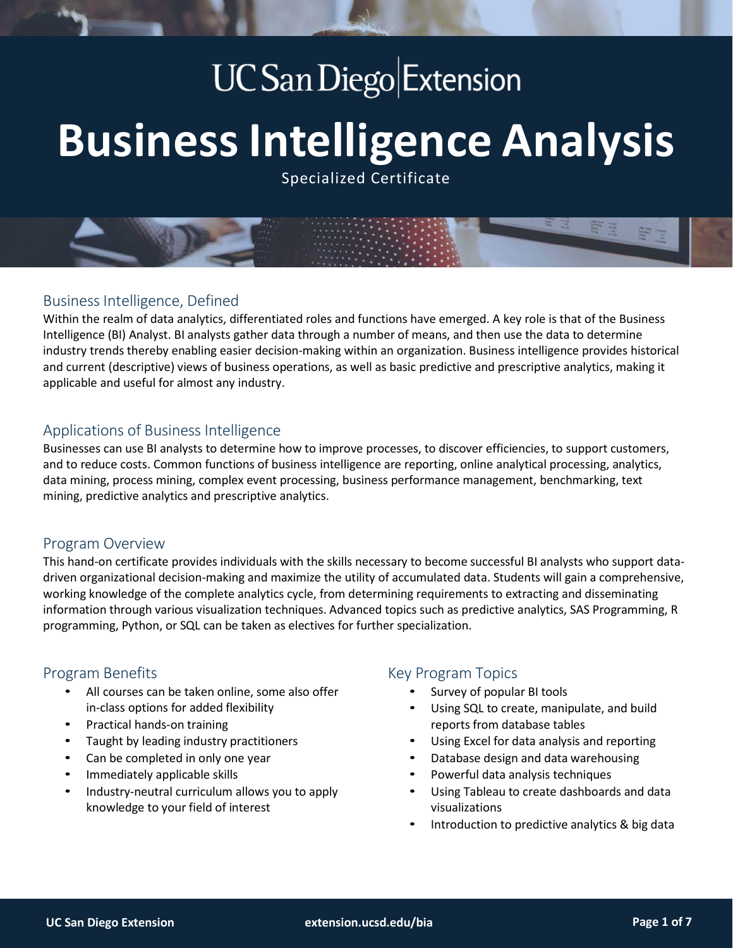## **UC** San Diego Extension

# **BusinessIntelligence Analysis**

Specialized Certificate

## Business Intelligence, Defined

Within the realm of data analytics, differentiated roles and functions have emerged. A key role is that of the Business Intelligence (BI) Analyst. BI analysts gather data through a number of means, and then use the data to determine industry trends thereby enabling easier decision-making within an organization. Business intelligence provides historical and current (descriptive) views of business operations, as well as basic predictive and prescriptive analytics, making it applicable and useful for almost any industry.

## Applications of Business Intelligence

Businesses can use BI analysts to determine how to improve processes, to discover efficiencies, to support customers, and to reduce costs. Common functions of business intelligence are reporting, online analytical processing, analytics, data mining, process mining, complex event processing, business performance management, benchmarking, text mining, predictive analytics and prescriptive analytics.

## Program Overview

This hand-on certificate provides individuals with the skills necessary to become successful BI analysts who support datadriven organizational decision-making and maximize the utility of accumulated data. Students will gain a comprehensive, working knowledge of the complete analytics cycle, from determining requirements to extracting and disseminating information through various visualization techniques. Advanced topics such as predictive analytics, SAS Programming, R programming, Python, or SQL can be taken as electives for further specialization.

## Program Benefits

- All courses can be taken online, some also offer in-class options for added flexibility
- Practical hands-on training
- Taught by leading industry practitioners
- Can be completed in only one year
- Immediately applicable skills
- Industry-neutral curriculum allows you to apply knowledge to your field of interest

## Key Program Topics

- Survey of popular BI tools
- Using SQL to create, manipulate, and build reports from database tables
- Using Excel for data analysis and reporting
- Database design and data warehousing
- Powerful data analysis techniques
- Using Tableau to create dashboards and data visualizations
- Introduction to predictive analytics & big data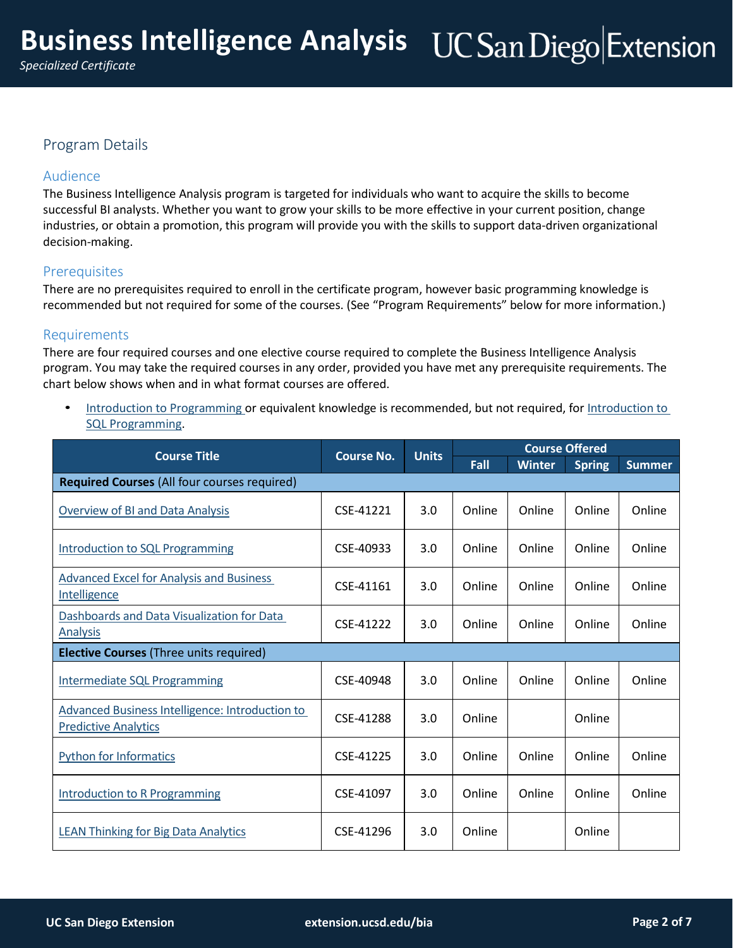## Program Details

## Audience

The Business Intelligence Analysis program is targeted for individuals who want to acquire the skills to become successful BI analysts. Whether you want to grow your skills to be more effective in your current position, change industries, or obtain a promotion, this program will provide you with the skills to support data-driven organizational decision-making.

## **Prerequisites**

There are no prerequisites required to enroll in the certificate program, however basic programming knowledge is recommended but not required for some of the courses. (See "Program Requirements" below for more information.)

## Requirements

There are four required courses and one elective course required to complete the Business Intelligence Analysis program. You may take the required courses in any order, provided you have met any prerequisite requirements. The chart below shows when and in what format courses are offered.

• Introduction to [Programming o](https://extension.ucsd.edu/courses-and-programs/introduction-to-programming?utm_source=faq&utm_medium=pdf&utm_campaign=ced-ent-business-intelligence-analysis)r equivalent knowledge is recommended, but not required, fo[r Introduction](https://extension.ucsd.edu/courses-and-programs/introduction-to-sql-programming?utm_source=faq&utm_medium=pdf&utm_campaign=ced-ent-introduction-to-sql-programming) to SQL [Programming.](https://extension.ucsd.edu/courses-and-programs/introduction-to-sql-programming?utm_source=faq&utm_medium=pdf&utm_campaign=ced-ent-business-intelligence-analysis)

| <b>Course Title</b>                                                                   | <b>Course No.</b> | <b>Units</b> | <b>Course Offered</b> |               |               |               |
|---------------------------------------------------------------------------------------|-------------------|--------------|-----------------------|---------------|---------------|---------------|
|                                                                                       |                   |              | Fall                  | <b>Winter</b> | <b>Spring</b> | <b>Summer</b> |
| <b>Required Courses (All four courses required)</b>                                   |                   |              |                       |               |               |               |
| <b>Overview of BI and Data Analysis</b>                                               | CSE-41221         | 3.0          | Online                | Online        | Online        | Online        |
| <b>Introduction to SQL Programming</b>                                                | CSE-40933         | 3.0          | Online                | Online        | Online        | Online        |
| <b>Advanced Excel for Analysis and Business</b><br>Intelligence                       | CSE-41161         | 3.0          | Online                | Online        | Online        | Online        |
| Dashboards and Data Visualization for Data<br><b>Analysis</b>                         | CSE-41222         | 3.0          | Online                | Online        | Online        | Online        |
| <b>Elective Courses (Three units required)</b>                                        |                   |              |                       |               |               |               |
| <b>Intermediate SQL Programming</b>                                                   | CSE-40948         | 3.0          | Online                | Online        | Online        | Online        |
| <b>Advanced Business Intelligence: Introduction to</b><br><b>Predictive Analytics</b> | CSE-41288         | 3.0          | Online                |               | Online        |               |
| <b>Python for Informatics</b>                                                         | CSE-41225         | 3.0          | Online                | Online        | Online        | Online        |
| <b>Introduction to R Programming</b>                                                  | CSE-41097         | 3.0          | Online                | Online        | Online        | Online        |
| <b>LEAN Thinking for Big Data Analytics</b>                                           | CSE-41296         | 3.0          | Online                |               | Online        |               |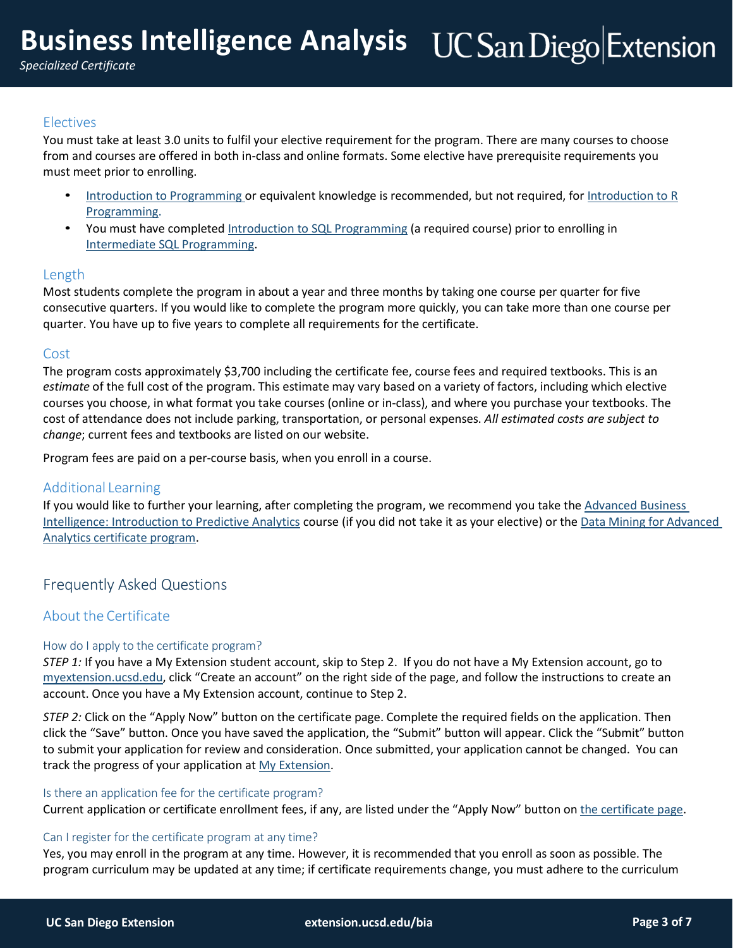### Electives

You must take at least 3.0 units to fulfil your elective requirement for the program. There are many courses to choose from and courses are offered in both in-class and online formats. Some elective have prerequisite requirements you must meet prior to enrolling.

- Introduction to [Programming o](https://extension.ucsd.edu/courses-and-programs/introduction-to-programming?utm_source=faq&utm_medium=pdf&utm_campaign=ced-ent-business-intelligence-analysis)r equivalent knowledge is recommended, but not required, fo[r Introduction](https://extension.ucsd.edu/courses-and-programs/r-programming?utm_source=faq&utm_medium=pdf&utm_campaign=ced-ent-r-programming) to R [Programming.](https://extension.ucsd.edu/courses-and-programs/r-programming?utm_source=faq&utm_medium=pdf&utm_campaign=ced-ent-business-intelligence-analysis)
- You must have completed Introduction to SQL [Programming](https://extension.ucsd.edu/courses-and-programs/introduction-to-sql-programming?utm_source=faq&utm_medium=pdf&utm_campaign=ced-ent-introduction-to-sql-programming) (a required course) prior to enrolling in Intermediate SQL [Programming.](https://extension.ucsd.edu/courses-and-programs/intermediate-sql-programming?utm_source=faq&utm_medium=pdf&utm_campaign=ced-ent-intermediate-sql-programming)

## Length

Most students complete the program in about a year and three months by taking one course per quarter for five consecutive quarters. If you would like to complete the program more quickly, you can take more than one course per quarter. You have up to five years to complete all requirements for the certificate.

## Cost

The program costs approximately \$3,700 including the certificate fee, course fees and required textbooks. This is an *estimate* of the full cost of the program. This estimate may vary based on a variety of factors, including which elective courses you choose, in what format you take courses (online or in-class), and where you purchase your textbooks. The cost of attendance does not include parking, transportation, or personal expenses. *All estimated costs are subject to change*; current fees and textbooks are listed on our website.

Program fees are paid on a per-course basis, when you enroll in a course.

#### Additional Learning

If you would like to further your learning, after completing the program, we recommend you take the [Advanced Business](https://extension.ucsd.edu/courses-and-programs/advanced-business-intelligence-introduction-to-predictive-analytics?utm_source=faq&utm_medium=pdf&utm_campaign=ced-ent-advanced-business-intelligence-introduction-to-predictive-analytics)  [Intelligence: Introduction to Predictive Analytics](https://extension.ucsd.edu/courses-and-programs/advanced-business-intelligence-introduction-to-predictive-analytics?utm_source=faq&utm_medium=pdf&utm_campaign=ced-ent-advanced-business-intelligence-introduction-to-predictive-analytics) course (if you did not take it as your elective) or the Data Mining for [Advanced](https://extension.ucsd.edu/courses-and-programs/data-mining-for-advanced-analytics?utm_source=faq&utm_medium=pdf&utm_campaign=ced-ent-business-intelligence-analysis) Analytics [certificate](https://extension.ucsd.edu/courses-and-programs/data-mining-for-advanced-analytics?utm_source=faq&utm_medium=pdf&utm_campaign=ced-ent-business-intelligence-analysis) program.

## Frequently Asked Questions

## About the Certificate

#### How do I apply to the certificate program?

*STEP 1:* If you have a My Extension student account, skip to Step 2. If you do not have a My Extension account, go to [myextension.ucsd.edu,](https://myextension.ucsd.edu/) click "Create an account" on the right side of the page, and follow the instructions to create an account. Once you have a My Extension account, continue to Step 2.

*STEP 2:* Click on the "Apply Now" button on the certificate page. Complete the required fields on the application. Then click the "Save" button. Once you have saved the application, the "Submit" button will appear. Click the "Submit" button to submit your application for review and consideration. Once submitted, your application cannot be changed. You can track the progress of your application at My [Extension.](https://myextension.ucsd.edu/)

#### Is there an application fee for the certificate program?

Current application or certificate enrollment fees, if any, are listed under the "Apply Now" button on [the certificate page.](https://extension.ucsd.edu/courses-and-programs/business-intelligence-analysis?utm_source=faq&utm_medium=pdf&utm_campaign=ced-ent-business-intelligence-analysis)

#### Can I register for the certificate program at any time?

Yes, you may enroll in the program at any time. However, it is recommended that you enroll as soon as possible. The program curriculum may be updated at any time; if certificate requirements change, you must adhere to the curriculum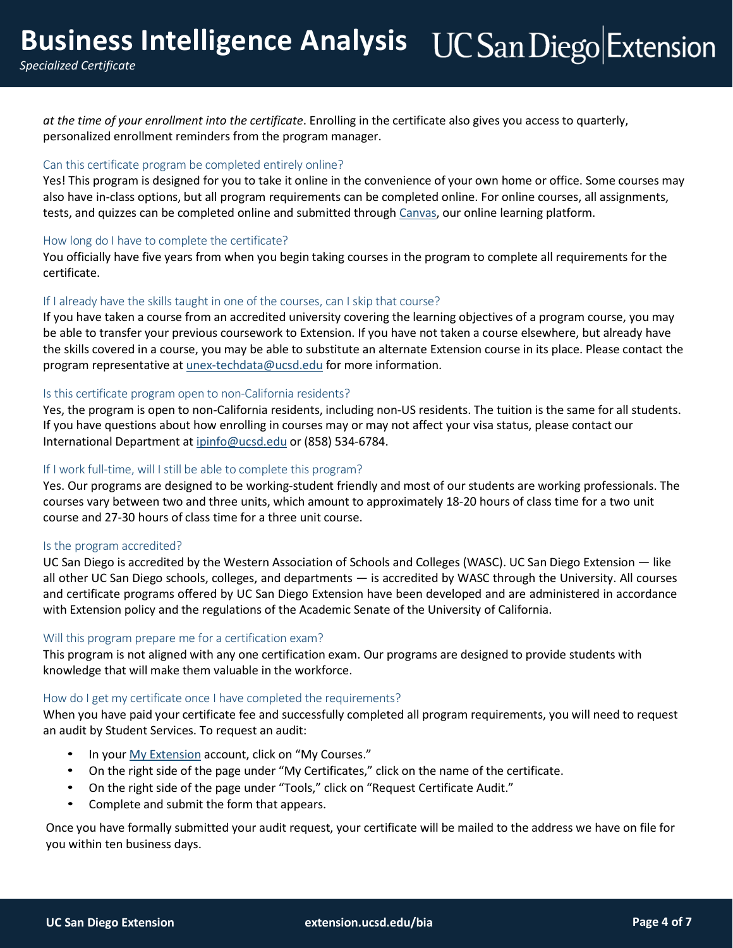*at the time of your enrollment into the certificate*. Enrolling in the certificate also gives you access to quarterly, personalized enrollment reminders from the program manager.

#### Can this certificate program be completed entirely online?

Yes! This program is designed for you to take it online in the convenience of your own home or office. Some courses may also have in-class options, but all program requirements can be completed online. For online courses, all assignments, tests, and quizzes can be completed online and submitted through [Canvas,](https://extensioncanvas.ucsd.edu/) our online learning platform.

#### How long do I have to complete the certificate?

You officially have five years from when you begin taking courses in the program to complete all requirements for the certificate.

#### If I already have the skills taught in one of the courses, can I skip that course?

If you have taken a course from an accredited university covering the learning objectives of a program course, you may be able to transfer your previous coursework to Extension. If you have not taken a course elsewhere, but already have the skills covered in a course, you may be able to substitute an alternate Extension course in its place. Please contact the program representative at [unex-techdata@ucsd.edu](mailto:unex-techdata@ucsd.edu) for more information.

#### Is this certificate program open to non-California residents?

Yes, the program is open to non-California residents, including non-US residents. The tuition is the same for all students. If you have questions about how enrolling in courses may or may not affect your visa status, please contact our International Department at [ipinfo@ucsd.edu](mailto:ipinfo@ucsd.edu) or (858) 534-6784.

#### If I work full-time, will I still be able to complete this program?

Yes. Our programs are designed to be working-student friendly and most of our students are working professionals. The courses vary between two and three units, which amount to approximately 18-20 hours of class time for a two unit course and 27-30 hours of class time for a three unit course.

#### Is the program accredited?

UC San Diego is accredited by the Western Association of Schools and Colleges (WASC). UC San Diego Extension — like all other UC San Diego schools, colleges, and departments — is accredited by WASC through the University. All courses and certificate programs offered by UC San Diego Extension have been developed and are administered in accordance with Extension policy and the regulations of the Academic Senate of the University of California.

#### Will this program prepare me for a certification exam?

This program is not aligned with any one certification exam. Our programs are designed to provide students with knowledge that will make them valuable in the workforce.

#### How do I get my certificate once I have completed the requirements?

When you have paid your certificate fee and successfully completed all program requirements, you will need to request an audit by Student Services. To request an audit:

- In your My [Extension](https://myextension.ucsd.edu/) account, click on "My Courses."
- On the right side of the page under "My Certificates," click on the name of the certificate.
- On the right side of the page under "Tools," click on "Request Certificate Audit."
- Complete and submit the form that appears.

Once you have formally submitted your audit request, your certificate will be mailed to the address we have on file for you within ten business days.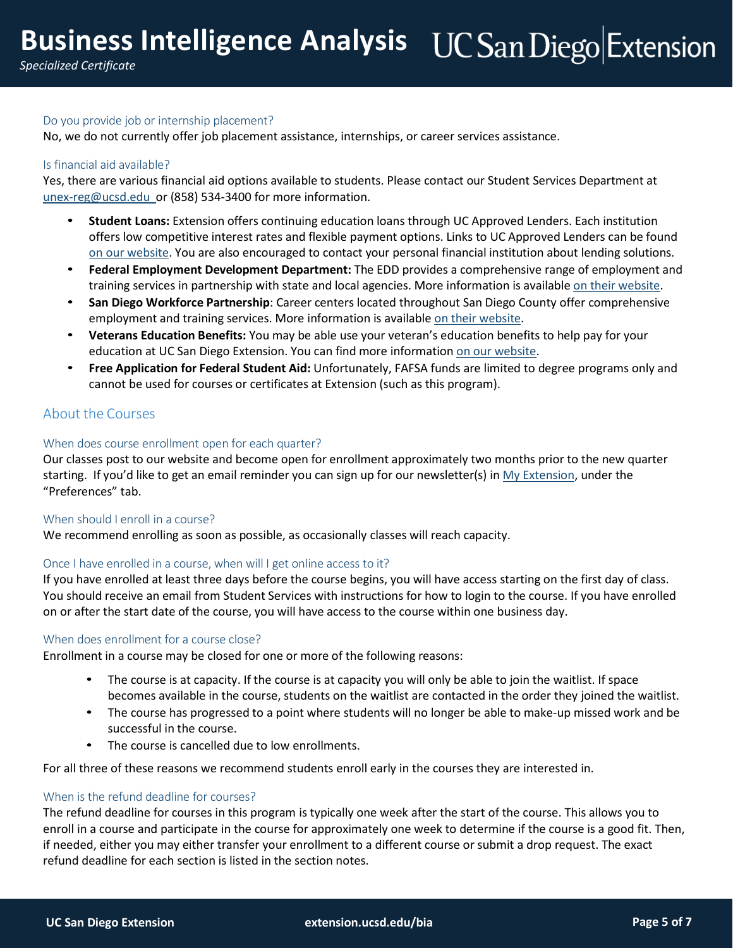#### Do you provide job or internship placement?

No, we do not currently offer job placement assistance, internships, or career services assistance.

#### Is financial aid available?

Yes, there are various financial aid options available to students. Please contact our Student Services Department at [unex-reg@ucsd.edu](mailto:unex-reg@ucsd.edu) or (858) 534-3400 for more information.

- **Student Loans:** Extension offers continuing education loans through UC Approved Lenders. Each institution offers low competitive interest rates and flexible payment options. Links to UC Approved Lenders can be found on our [website.](https://extension.ucsd.edu/student-resources/financial-resources?utm_source=faq&utm_medium=pdf&utm_campaign=ced-ent-business-intelligence-analysis) You are also encouraged to contact your personal financial institution about lending solutions.
- **Federal Employment Development Department:** The EDD provides a comprehensive range of employment and training services in partnership with state and local agencies. More information is available on their [website.](http://www.edd.ca.gov/)
- **San Diego Workforce Partnership**: Career centers located throughout San Diego County offer comprehensive employment and training services. More information is available on their [website.](http://workforce.org/)
- **Veterans Education Benefits:** You may be able use your veteran's education benefits to help pay for your education at UC San Diego Extension. You can find more information on [our website.](https://extension.ucsd.edu/student-resources/financial-resources/veterans-education-benefits?utm_source=faq&utm_medium=pdf&utm_campaign=ced-ent-business-intelligence-analysis)
- **Free Application for Federal Student Aid:** Unfortunately, FAFSA funds are limited to degree programs only and cannot be used for courses or certificates at Extension (such as this program).

## About the Courses

#### When does course enrollment open for each quarter?

Our classes post to our website and become open for enrollment approximately two months prior to the new quarter starting. If you'd like to get an email reminder you can sign up for our newsletter(s) in My [Extension, u](https://myextension.ucsd.edu/)nder the "Preferences" tab.

#### When should I enroll in a course?

We recommend enrolling as soon as possible, as occasionally classes will reach capacity.

#### Once I have enrolled in a course, when will I get online access to it?

If you have enrolled at least three days before the course begins, you will have access starting on the first day of class. You should receive an email from Student Services with instructions for how to login to the course. If you have enrolled on or after the start date of the course, you will have access to the course within one business day.

#### When does enrollment for a course close?

Enrollment in a course may be closed for one or more of the following reasons:

- The course is at capacity. If the course is at capacity you will only be able to join the waitlist. If space becomes available in the course, students on the waitlist are contacted in the order they joined the waitlist.
- The course has progressed to a point where students will no longer be able to make-up missed work and be successful in the course.
- The course is cancelled due to low enrollments.

For all three of these reasons we recommend students enroll early in the courses they are interested in.

#### When is the refund deadline for courses?

The refund deadline for courses in this program is typically one week after the start of the course. This allows you to enroll in a course and participate in the course for approximately one week to determine if the course is a good fit. Then, if needed, either you may either transfer your enrollment to a different course or submit a drop request. The exact refund deadline for each section is listed in the section notes.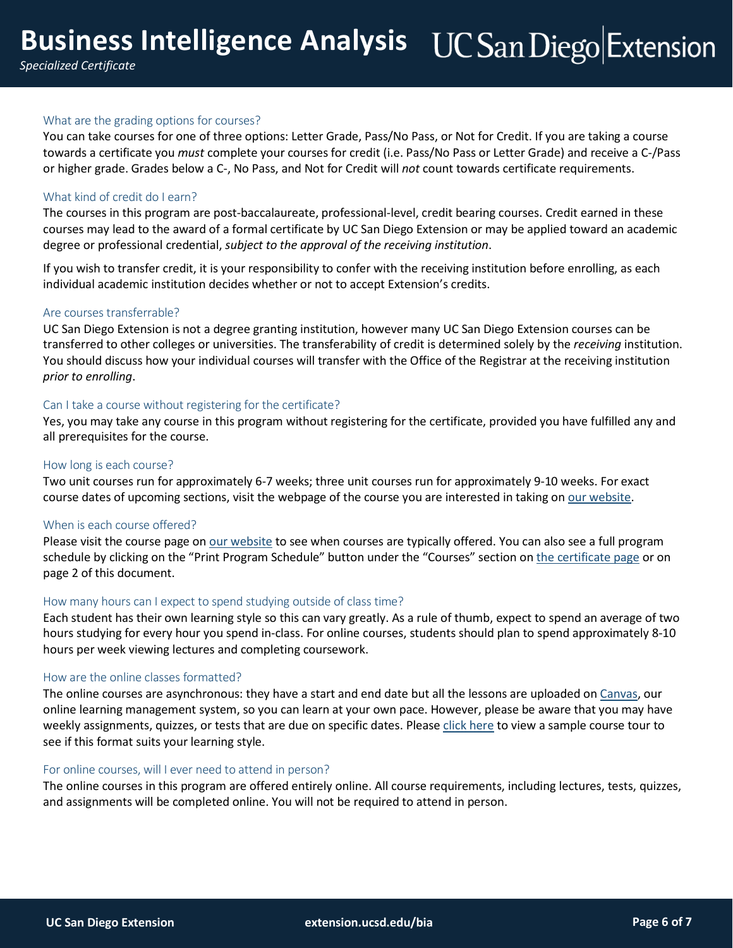#### What are the grading options for courses?

You can take courses for one of three options: Letter Grade, Pass/No Pass, or Not for Credit. If you are taking a course towards a certificate you *must* complete your courses for credit (i.e. Pass/No Pass or Letter Grade) and receive a C-/Pass or higher grade. Grades below a C-, No Pass, and Not for Credit will *not* count towards certificate requirements.

#### What kind of credit do I earn?

The courses in this program are post-baccalaureate, professional-level, credit bearing courses. Credit earned in these courses may lead to the award of a formal certificate by UC San Diego Extension or may be applied toward an academic degree or professional credential, *subject to the approval of the receiving institution*.

If you wish to transfer credit, it is your responsibility to confer with the receiving institution before enrolling, as each individual academic institution decides whether or not to accept Extension's credits.

#### Are courses transferrable?

UC San Diego Extension is not a degree granting institution, however many UC San Diego Extension courses can be transferred to other colleges or universities. The transferability of credit is determined solely by the *receiving* institution. You should discuss how your individual courses will transfer with the Office of the Registrar at the receiving institution *prior to enrolling*.

#### Can I take a course without registering for the certificate?

Yes, you may take any course in this program without registering for the certificate, provided you have fulfilled any and all prerequisites for the course.

#### How long is each course?

Two unit courses run for approximately 6-7 weeks; three unit courses run for approximately 9-10 weeks. For exact course dates of upcoming sections, visit the webpage of the course you are interested in taking on our [website.](https://extension.ucsd.edu/?utm_source=faq&utm_medium=pdf&utm_campaign=ced-ent-business-intelligence-analysis)

#### When is each course offered?

Please visit the course page on our [website](https://extension.ucsd.edu/?utm_source=faq&utm_medium=pdf&utm_campaign=ced-ent-business-intelligence-analysis) to see when courses are typically offered. You can also see a full program schedule by clicking on the "Print Program Schedule" button under the "Courses" section on the [certificate](https://extension.ucsd.edu/courses-and-programs/business-intelligence-analysis?utm_source=faq&utm_medium=pdf&utm_campaign=ced-ent-business-intelligence-analysis) page or on page 2 of this document.

#### How many hours can I expect to spend studying outside of class time?

Each student has their own learning style so this can vary greatly. As a rule of thumb, expect to spend an average of two hours studying for every hour you spend in-class. For online courses, students should plan to spend approximately 8-10 hours per week viewing lectures and completing coursework.

#### How are the online classes formatted?

The online courses are asynchronous: they have a start and end date but all the lessons are uploaded on [Canvas,](https://extensioncanvas.ucsd.edu/) our online learning management system, so you can learn at your own pace. However, please be aware that you may have weekly assignments, quizzes, or tests that are due on specific dates. Please click [here](http://onlinex.ucsd.edu/onlinelearning/students/course_tour.swf) to view a sample course tour to see if this format suits your learning style.

#### For online courses, will I ever need to attend in person?

The online courses in this program are offered entirely online. All course requirements, including lectures, tests, quizzes, and assignments will be completed online. You will not be required to attend in person.